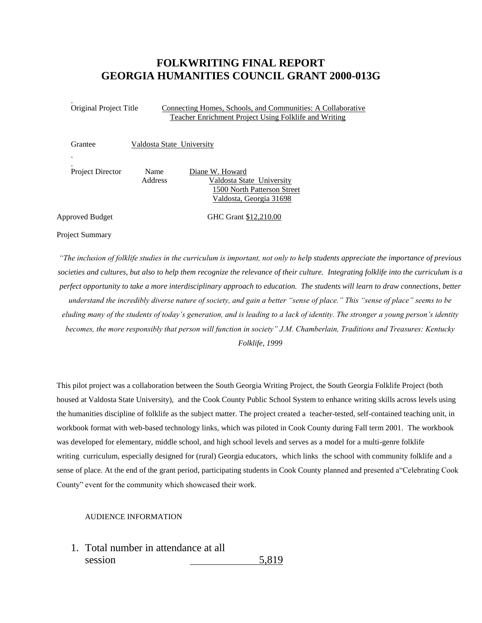# **FOLKWRITING FINAL REPORT GEORGIA HUMANITIES COUNCIL GRANT 2000-013G**

Original Project Title Connecting Homes, Schools, and Communities: A Collaborative Teacher Enrichment Project Using Folklife and Writing

| Grantee                 | Valdosta State University |                                                                                                        |
|-------------------------|---------------------------|--------------------------------------------------------------------------------------------------------|
|                         |                           |                                                                                                        |
| <b>Project Director</b> | Name<br><b>Address</b>    | Diane W. Howard<br>Valdosta State University<br>1500 North Patterson Street<br>Valdosta, Georgia 31698 |

Approved Budget GHC Grant \$12,210.00

Project Summary

*"The inclusion of folklife studies in the curriculum is important, not only to help students appreciate the importance of previous societies and cultures, but also to help them recognize the relevance of their culture. Integrating folklife into the curriculum is a perfect opportunity to take a more interdisciplinary approach to education. The students will learn to draw connections, better understand the incredibly diverse nature of society, and gain a better "sense of place." This "sense of place" seems to be eluding many of the students of today's generation, and is leading to a lack of identity. The stronger a young person's identity becomes, the more responsibly that person will function in society" J.M. Chamberlain, Traditions and Treasures: Kentucky Folklife, 1999*

This pilot project was a collaboration between the South Georgia Writing Project, the South Georgia Folklife Project (both housed at Valdosta State University), and the Cook County Public School System to enhance writing skills across levels using the humanities discipline of folklife as the subject matter. The project created a teacher-tested, self-contained teaching unit, in workbook format with web-based technology links, which was piloted in Cook County during Fall term 2001. The workbook was developed for elementary, middle school, and high school levels and serves as a model for a multi-genre folklife writing curriculum, especially designed for (rural) Georgia educators, which links the school with community folklife and a sense of place. At the end of the grant period, participating students in Cook County planned and presented a"Celebrating Cook County" event for the community which showcased their work.

#### AUDIENCE INFORMATION

1. Total number in attendance at all session 5,819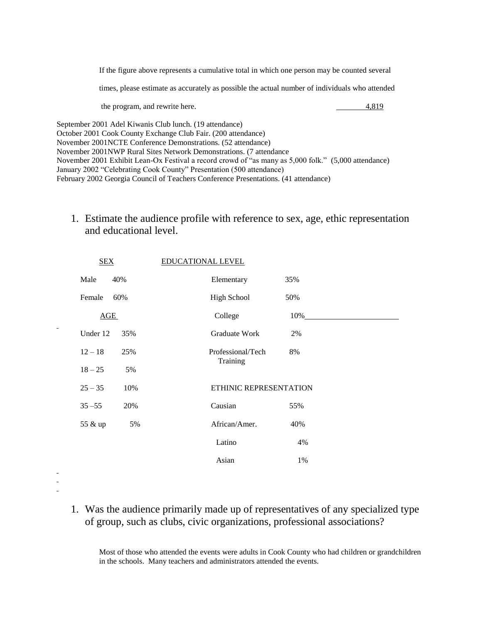If the figure above represents a cumulative total in which one person may be counted several

times, please estimate as accurately as possible the actual number of individuals who attended

the program, and rewrite here.  $\qquad \qquad \qquad 4,819$ 

September 2001 Adel Kiwanis Club lunch. (19 attendance) October 2001 Cook County Exchange Club Fair. (200 attendance) November 2001NCTE Conference Demonstrations. (52 attendance) November 2001NWP Rural Sites Network Demonstrations. (7 attendance November 2001 Exhibit Lean-Ox Festival a record crowd of "as many as 5,000 folk." (5,000 attendance) January 2002 "Celebrating Cook County" Presentation (500 attendance) February 2002 Georgia Council of Teachers Conference Presentations. (41 attendance)

# 1. Estimate the audience profile with reference to sex, age, ethic representation and educational level.

| <b>SEX</b> |     | <b>EDUCATIONAL LEVEL</b> |                        |                      |
|------------|-----|--------------------------|------------------------|----------------------|
| Male       | 40% |                          | Elementary             | 35%                  |
| Female     | 60% |                          | <b>High School</b>     | 50%                  |
| AGE        |     |                          | College                | $10\%$ <sub>__</sub> |
| Under 12   | 35% |                          | Graduate Work          | 2%                   |
| $12 - 18$  | 25% |                          | Professional/Tech      | 8%                   |
| $18 - 25$  | 5%  |                          | Training               |                      |
| $25 - 35$  | 10% |                          | ETHINIC REPRESENTATION |                      |
| $35 - 55$  | 20% |                          | Causian                | 55%                  |
| 55 & up    | 5%  |                          | African/Amer.          | 40%                  |
|            |     |                          | Latino                 | 4%                   |
|            |     |                          | Asian                  | 1%                   |
|            |     |                          |                        |                      |

- 
- 
- 1. Was the audience primarily made up of representatives of any specialized type of group, such as clubs, civic organizations, professional associations?

Most of those who attended the events were adults in Cook County who had children or grandchildren in the schools. Many teachers and administrators attended the events.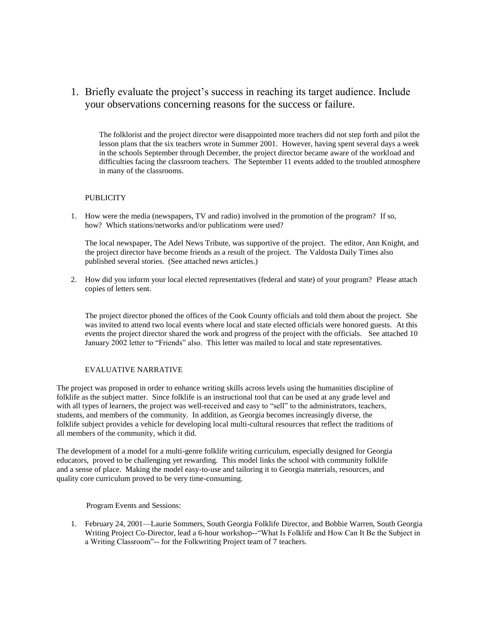# 1. Briefly evaluate the project's success in reaching its target audience. Include your observations concerning reasons for the success or failure.

The folklorist and the project director were disappointed more teachers did not step forth and pilot the lesson plans that the six teachers wrote in Summer 2001. However, having spent several days a week in the schools September through December, the project director became aware of the workload and difficulties facing the classroom teachers. The September 11 events added to the troubled atmosphere in many of the classrooms.

## **PUBLICITY**

1. How were the media (newspapers, TV and radio) involved in the promotion of the program? If so, how? Which stations/networks and/or publications were used?

The local newspaper, The Adel News Tribute, was supportive of the project. The editor, Ann Knight, and the project director have become friends as a result of the project. The Valdosta Daily Times also published several stories. (See attached news articles.)

2. How did you inform your local elected representatives (federal and state) of your program? Please attach copies of letters sent.

The project director phoned the offices of the Cook County officials and told them about the project. She was invited to attend two local events where local and state elected officials were honored guests. At this events the project director shared the work and progress of the project with the officials. See attached 10 January 2002 letter to "Friends" also. This letter was mailed to local and state representatives.

### EVALUATIVE NARRATIVE

The project was proposed in order to enhance writing skills across levels using the humanities discipline of folklife as the subject matter. Since folklife is an instructional tool that can be used at any grade level and with all types of learners, the project was well-received and easy to "sell" to the administrators, teachers, students, and members of the community. In addition, as Georgia becomes increasingly diverse, the folklife subject provides a vehicle for developing local multi-cultural resources that reflect the traditions of all members of the community, which it did.

The development of a model for a multi-genre folklife writing curriculum, especially designed for Georgia educators, proved to be challenging yet rewarding. This model links the school with community folklife and a sense of place. Making the model easy-to-use and tailoring it to Georgia materials, resources, and quality core curriculum proved to be very time-consuming.

Program Events and Sessions:

1. February 24, 2001—Laurie Sommers, South Georgia Folklife Director, and Bobbie Warren, South Georgia Writing Project Co-Director, lead a 6-hour workshop--"What Is Folklife and How Can It Be the Subject in a Writing Classroom"-- for the Folkwriting Project team of 7 teachers.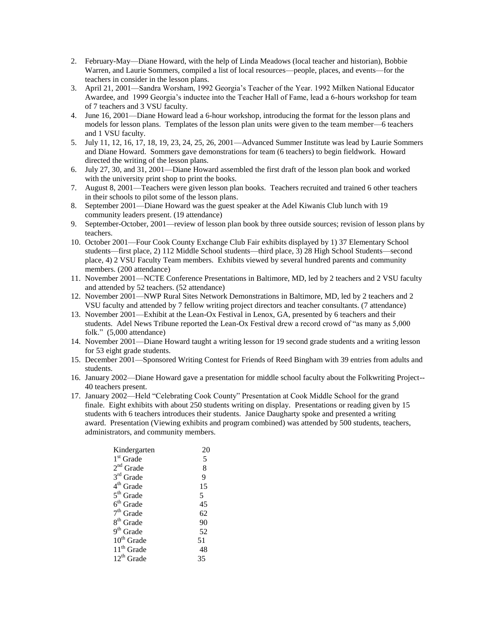- 2. February-May—Diane Howard, with the help of Linda Meadows (local teacher and historian), Bobbie Warren, and Laurie Sommers, compiled a list of local resources—people, places, and events—for the teachers in consider in the lesson plans.
- 3. April 21, 2001—Sandra Worsham, 1992 Georgia's Teacher of the Year. 1992 Milken National Educator Awardee, and 1999 Georgia's inductee into the Teacher Hall of Fame, lead a 6-hours workshop for team of 7 teachers and 3 VSU faculty.
- 4. June 16, 2001—Diane Howard lead a 6-hour workshop, introducing the format for the lesson plans and models for lesson plans. Templates of the lesson plan units were given to the team member—6 teachers and 1 VSU faculty.
- 5. July 11, 12, 16, 17, 18, 19, 23, 24, 25, 26, 2001—Advanced Summer Institute was lead by Laurie Sommers and Diane Howard. Sommers gave demonstrations for team (6 teachers) to begin fieldwork. Howard directed the writing of the lesson plans.
- 6. July 27, 30, and 31, 2001—Diane Howard assembled the first draft of the lesson plan book and worked with the university print shop to print the books.
- 7. August 8, 2001—Teachers were given lesson plan books. Teachers recruited and trained 6 other teachers in their schools to pilot some of the lesson plans.
- 8. September 2001—Diane Howard was the guest speaker at the Adel Kiwanis Club lunch with 19 community leaders present. (19 attendance)
- 9. September-October, 2001—review of lesson plan book by three outside sources; revision of lesson plans by teachers.
- 10. October 2001—Four Cook County Exchange Club Fair exhibits displayed by 1) 37 Elementary School students—first place, 2) 112 Middle School students—third place, 3) 28 High School Students—second place, 4) 2 VSU Faculty Team members. Exhibits viewed by several hundred parents and community members. (200 attendance)
- 11. November 2001—NCTE Conference Presentations in Baltimore, MD, led by 2 teachers and 2 VSU faculty and attended by 52 teachers. (52 attendance)
- 12. November 2001—NWP Rural Sites Network Demonstrations in Baltimore, MD, led by 2 teachers and 2 VSU faculty and attended by 7 fellow writing project directors and teacher consultants. (7 attendance)
- 13. November 2001—Exhibit at the Lean-Ox Festival in Lenox, GA, presented by 6 teachers and their students. Adel News Tribune reported the Lean-Ox Festival drew a record crowd of "as many as 5,000 folk." (5,000 attendance)
- 14. November 2001—Diane Howard taught a writing lesson for 19 second grade students and a writing lesson for 53 eight grade students.
- 15. December 2001—Sponsored Writing Contest for Friends of Reed Bingham with 39 entries from adults and students.
- 16. January 2002—Diane Howard gave a presentation for middle school faculty about the Folkwriting Project-- 40 teachers present.
- 17. January 2002—Held "Celebrating Cook County" Presentation at Cook Middle School for the grand finale. Eight exhibits with about 250 students writing on display. Presentations or reading given by 15 students with 6 teachers introduces their students. Janice Daugharty spoke and presented a writing award. Presentation (Viewing exhibits and program combined) was attended by 500 students, teachers, administrators, and community members.

| Kindergarten           | 20 |
|------------------------|----|
| 1 <sup>st</sup> Grade  | 5  |
| $2nd$ Grade            | 8  |
| 3rd Grade              | 9  |
| 4 <sup>th</sup> Grade  | 15 |
| 5 <sup>th</sup> Grade  | 5  |
| $6th$ Grade            | 45 |
| $7th$ Grade            | 62 |
| 8 <sup>th</sup> Grade  | 90 |
| 9 <sup>th</sup> Grade  | 52 |
| $10^{th}$ Grade        | 51 |
| 11 <sup>th</sup> Grade | 48 |
| $12^{th}$ Grade        | 35 |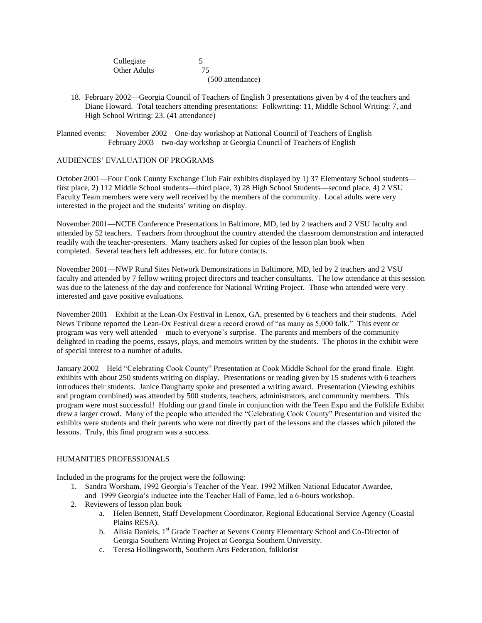| Collegiate   |                  |
|--------------|------------------|
| Other Adults | 75               |
|              | (500 attendance) |

18. February 2002—Georgia Council of Teachers of English 3 presentations given by 4 of the teachers and Diane Howard. Total teachers attending presentations: Folkwriting: 11, Middle School Writing: 7, and High School Writing: 23. (41 attendance)

Planned events: November 2002—One-day workshop at National Council of Teachers of English February 2003—two-day workshop at Georgia Council of Teachers of English

## AUDIENCES' EVALUATION OF PROGRAMS

October 2001—Four Cook County Exchange Club Fair exhibits displayed by 1) 37 Elementary School students first place, 2) 112 Middle School students—third place, 3) 28 High School Students—second place, 4) 2 VSU Faculty Team members were very well received by the members of the community. Local adults were very interested in the project and the students' writing on display.

November 2001—NCTE Conference Presentations in Baltimore, MD, led by 2 teachers and 2 VSU faculty and attended by 52 teachers. Teachers from throughout the country attended the classroom demonstration and interacted readily with the teacher-presenters. Many teachers asked for copies of the lesson plan book when completed. Several teachers left addresses, etc. for future contacts.

November 2001—NWP Rural Sites Network Demonstrations in Baltimore, MD, led by 2 teachers and 2 VSU faculty and attended by 7 fellow writing project directors and teacher consultants. The low attendance at this session was due to the lateness of the day and conference for National Writing Project. Those who attended were very interested and gave positive evaluations.

November 2001—Exhibit at the Lean-Ox Festival in Lenox, GA, presented by 6 teachers and their students. Adel News Tribune reported the Lean-Ox Festival drew a record crowd of "as many as 5,000 folk." This event or program was very well attended—much to everyone's surprise. The parents and members of the community delighted in reading the poems, essays, plays, and memoirs written by the students. The photos in the exhibit were of special interest to a number of adults.

January 2002—Held "Celebrating Cook County" Presentation at Cook Middle School for the grand finale. Eight exhibits with about 250 students writing on display. Presentations or reading given by 15 students with 6 teachers introduces their students. Janice Daugharty spoke and presented a writing award. Presentation (Viewing exhibits and program combined) was attended by 500 students, teachers, administrators, and community members. This program were most successful! Holding our grand finale in conjunction with the Teen Expo and the Folklife Exhibit drew a larger crowd. Many of the people who attended the "Celebrating Cook County" Presentation and visited the exhibits were students and their parents who were not directly part of the lessons and the classes which piloted the lessons. Truly, this final program was a success.

### HUMANITIES PROFESSIONALS

Included in the programs for the project were the following:

- 1. Sandra Worsham, 1992 Georgia's Teacher of the Year. 1992 Milken National Educator Awardee, and 1999 Georgia's inductee into the Teacher Hall of Fame, led a 6-hours workshop.
- 2. Reviewers of lesson plan book
	- a. Helen Bennett, Staff Development Coordinator, Regional Educational Service Agency (Coastal Plains RESA).
	- b. Alisia Daniels, 1<sup>st</sup> Grade Teacher at Sevens County Elementary School and Co-Director of Georgia Southern Writing Project at Georgia Southern University.
	- c. Teresa Hollingsworth, Southern Arts Federation, folklorist